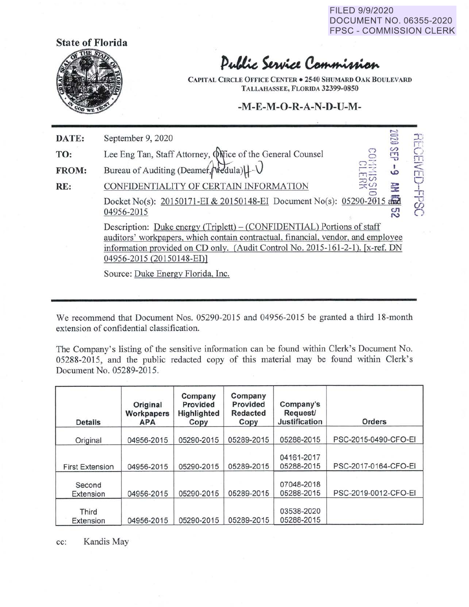FILED 9/9/2020 DOCUMENT NO. 06355-2020 FPSC - COMMISSION CLERK



## Public Service Commission

**CAPITAL CmCLE OFFICE CENTER• 2540 SHUMARD OAK BOULEVARD TALLAHASSEE, FLORIDA 32399-0850** 

## **-M-E-M-0-R-A-N-D-U-M-**

| DATE: | September 9, 2020                                                                                                                                                                                                                                                        | 0202    | 干           |
|-------|--------------------------------------------------------------------------------------------------------------------------------------------------------------------------------------------------------------------------------------------------------------------------|---------|-------------|
| TO:   | Lee Eng Tan, Staff Attorney, Office of the General Counsel                                                                                                                                                                                                               | SEIP    | CEIV        |
| FROM: | Bureau of Auditing (Deamer, Nedula)   - V                                                                                                                                                                                                                                | $\circ$ | т           |
| RE:   | <b>LERK</b><br>CONFIDENTIALITY OF CERTAIN INFORMATION                                                                                                                                                                                                                    | 듳       |             |
|       | Docket No(s): 20150171-EI & 20150148-EI Document No(s): 05290-2015 and<br>04956-2015                                                                                                                                                                                     | ္လာ     | <b>CSGE</b> |
|       | Description: Duke energy (Triplett) – (CONFIDENTIAL) Portions of staff<br>auditors' workpapers, which contain contractual, financial, vendor, and employee<br>information provided on CD only. (Audit Control No. 2015-161-2-1). [x-ref. DN<br>04956-2015 (20150148-EI)] |         |             |
|       | Source: Duke Energy Florida, Inc.                                                                                                                                                                                                                                        |         |             |

We recommend that Document Nos. 05290-2015 and 04956-2015 be granted a third 18-month extension of confidential classification.

The Company's listing of the sensitive information can be found within Clerk's Document No. 05288-2015, and the public redacted copy of this material may be found within Clerk's Document No. 05289-2015.

| <b>Details</b>         | Original<br>Workpapers<br><b>APA</b> | Company<br>Provided<br>Highlighted<br>Copy | Company<br>Provided<br><b>Redacted</b><br>Copy | Company's<br>Request/<br><b>Justification</b> | <b>Orders</b>        |
|------------------------|--------------------------------------|--------------------------------------------|------------------------------------------------|-----------------------------------------------|----------------------|
| Original               | 04956-2015                           | 05290-2015                                 | 05289-2015                                     | 05288-2015                                    | PSC-2015-0490-CFO-EI |
| <b>First Extension</b> | 04956-2015                           | 05290-2015                                 | 05289-2015                                     | 04161-2017<br>05288-2015                      | PSC-2017-0164-CFO-EI |
| Second<br>Extension    | 04956-2015                           | 05290-2015                                 | 05289-2015                                     | 07048-2018<br>05288-2015                      | PSC-2019-0012-CFO-EI |
| Third<br>Extension     | 04956-2015                           | 05290-2015                                 | 05289-2015                                     | 03538-2020<br>05288-2015                      |                      |

cc: Kandis May